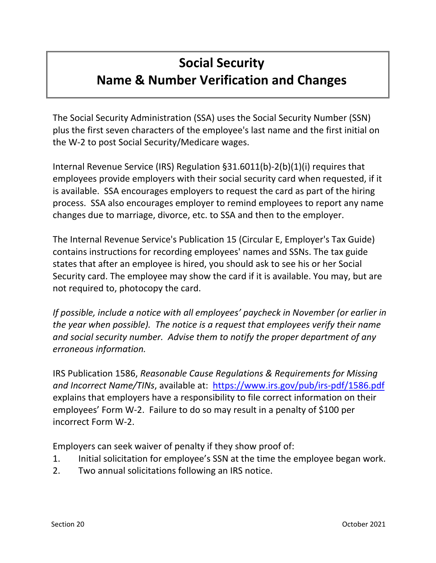# **Social Security Name & Number Verification and Changes**

The Social Security Administration (SSA) uses the Social Security Number (SSN) plus the first seven characters of the employee's last name and the first initial on the W‐2 to post Social Security/Medicare wages.

Internal Revenue Service (IRS) Regulation §31.6011(b)‐2(b)(1)(i) requires that employees provide employers with their social security card when requested, if it is available. SSA encourages employers to request the card as part of the hiring process. SSA also encourages employer to remind employees to report any name changes due to marriage, divorce, etc. to SSA and then to the employer.

The Internal Revenue Service's Publication 15 (Circular E, Employer's Tax Guide) contains instructions for recording employees' names and SSNs. The tax guide states that after an employee is hired, you should ask to see his or her Social Security card. The employee may show the card if it is available. You may, but are not required to, photocopy the card.

*If possible, include a notice with all employees' paycheck in November (or earlier in the year when possible). The notice is a request that employees verify their name and social security number. Advise them to notify the proper department of any erroneous information.* 

IRS Publication 1586, *Reasonable Cause Regulations & Requirements for Missing and Incorrect Name/TINs*, available at: [https://www.irs.gov/pub/irs-pdf/1586.pdf](https://www.irs.gov/pub/irs-pdf/p1586.pdf) explains that employers have a responsibility to file correct information on their employees' Form W‐2. Failure to do so may result in a penalty of \$100 per incorrect Form W‐2.

Employers can seek waiver of penalty if they show proof of:

- 1. Initial solicitation for employee's SSN at the time the employee began work.
- 2. Two annual solicitations following an IRS notice.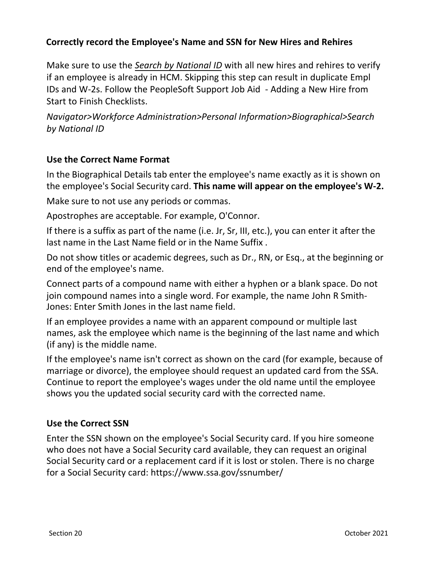# **Correctly record the Employee's Name and SSN for New Hires and Rehires**

Make sure to use the *Search by National ID* with all new hires and rehires to verify if an employee is already in HCM. Skipping this step can result in duplicate Empl IDs and W-2s. Follow the PeopleSoft Support Job Aid - Adding a New Hire from Start to Finish Checklists.

*Navigator>Workforce Administration>Personal Information>Biographical>Search by National ID*

### **Use the Correct Name Format**

In the Biographical Details tab enter the employee's name exactly as it is shown on the employee's Social Security card. **This name will appear on the employee's W-2.**

Make sure to not use any periods or commas.

Apostrophes are acceptable. For example, O'Connor.

If there is a suffix as part of the name (i.e. Jr, Sr, III, etc.), you can enter it after the last name in the Last Name field or in the Name Suffix .

Do not show titles or academic degrees, such as Dr., RN, or Esq., at the beginning or end of the employee's name.

Connect parts of a compound name with either a hyphen or a blank space. Do not join compound names into a single word. For example, the name John R Smith-Jones: Enter Smith Jones in the last name field.

If an employee provides a name with an apparent compound or multiple last names, ask the employee which name is the beginning of the last name and which (if any) is the middle name.

If the employee's name isn't correct as shown on the card (for example, because of marriage or divorce), the employee should request an updated card from the SSA. Continue to report the employee's wages under the old name until the employee shows you the updated social security card with the corrected name.

# **Use the Correct SSN**

Enter the SSN shown on the employee's Social Security card. If you hire someone who does not have a Social Security card available, they can request an original Social Security card or a replacement card if it is lost or stolen. There is no charge for a Social Security card: https://www.ssa.gov/ssnumber/